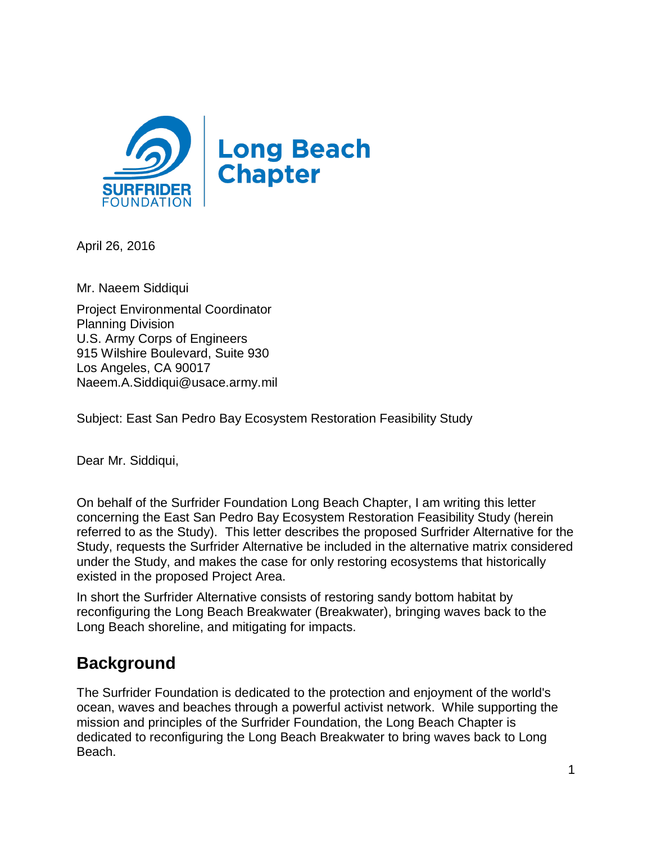

April 26, 2016

Mr. Naeem Siddiqui

Project Environmental Coordinator Planning Division U.S. Army Corps of Engineers 915 Wilshire Boulevard, Suite 930 Los Angeles, CA 90017 Naeem.A.Siddiqui@usace.army.mil

Subject: East San Pedro Bay Ecosystem Restoration Feasibility Study

Dear Mr. Siddiqui,

On behalf of the Surfrider Foundation Long Beach Chapter, I am writing this letter concerning the East San Pedro Bay Ecosystem Restoration Feasibility Study (herein referred to as the Study). This letter describes the proposed Surfrider Alternative for the Study, requests the Surfrider Alternative be included in the alternative matrix considered under the Study, and makes the case for only restoring ecosystems that historically existed in the proposed Project Area.

In short the Surfrider Alternative consists of restoring sandy bottom habitat by reconfiguring the Long Beach Breakwater (Breakwater), bringing waves back to the Long Beach shoreline, and mitigating for impacts.

## **Background**

The Surfrider Foundation is dedicated to the protection and enjoyment of the world's ocean, waves and beaches through a powerful activist network. While supporting the mission and principles of the Surfrider Foundation, the Long Beach Chapter is dedicated to reconfiguring the Long Beach Breakwater to bring waves back to Long Beach.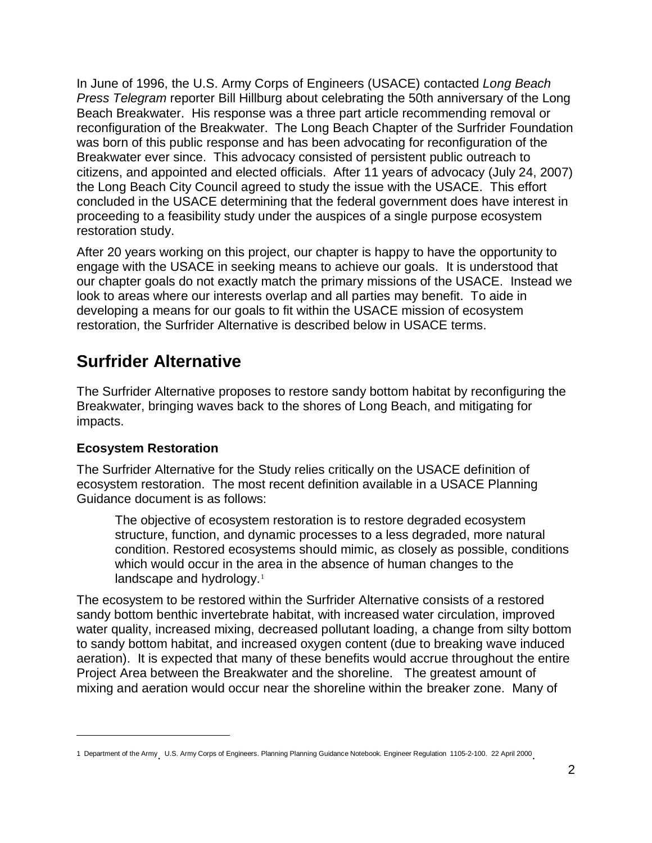In June of 1996, the U.S. Army Corps of Engineers (USACE) contacted *Long Beach Press Telegram* reporter Bill Hillburg about celebrating the 50th anniversary of the Long Beach Breakwater. His response was a three part article recommending removal or reconfiguration of the Breakwater. The Long Beach Chapter of the Surfrider Foundation was born of this public response and has been advocating for reconfiguration of the Breakwater ever since. This advocacy consisted of persistent public outreach to citizens, and appointed and elected officials. After 11 years of advocacy (July 24, 2007) the Long Beach City Council agreed to study the issue with the USACE. This effort concluded in the USACE determining that the federal government does have interest in proceeding to a feasibility study under the auspices of a single purpose ecosystem restoration study.

After 20 years working on this project, our chapter is happy to have the opportunity to engage with the USACE in seeking means to achieve our goals. It is understood that our chapter goals do not exactly match the primary missions of the USACE. Instead we look to areas where our interests overlap and all parties may benefit. To aide in developing a means for our goals to fit within the USACE mission of ecosystem restoration, the Surfrider Alternative is described below in USACE terms.

## **Surfrider Alternative**

The Surfrider Alternative proposes to restore sandy bottom habitat by reconfiguring the Breakwater, bringing waves back to the shores of Long Beach, and mitigating for impacts.

### **Ecosystem Restoration**

 $\overline{a}$ 

The Surfrider Alternative for the Study relies critically on the USACE definition of ecosystem restoration. The most recent definition available in a USACE Planning Guidance document is as follows:

The objective of ecosystem restoration is to restore degraded ecosystem structure, function, and dynamic processes to a less degraded, more natural condition. Restored ecosystems should mimic, as closely as possible, conditions which would occur in the area in the absence of human changes to the landscape and hydrology.<sup>1</sup>

The ecosystem to be restored within the Surfrider Alternative consists of a restored sandy bottom benthic invertebrate habitat, with increased water circulation, improved water quality, increased mixing, decreased pollutant loading, a change from silty bottom to sandy bottom habitat, and increased oxygen content (due to breaking wave induced aeration). It is expected that many of these benefits would accrue throughout the entire Project Area between the Breakwater and the shoreline. The greatest amount of mixing and aeration would occur near the shoreline within the breaker zone. Many of

<sup>1</sup> Department of the Army U.S. Army Corps of Engineers. Planning Planning Guidance Notebook. Engineer Regulation 1105-2-100. 22 April 2000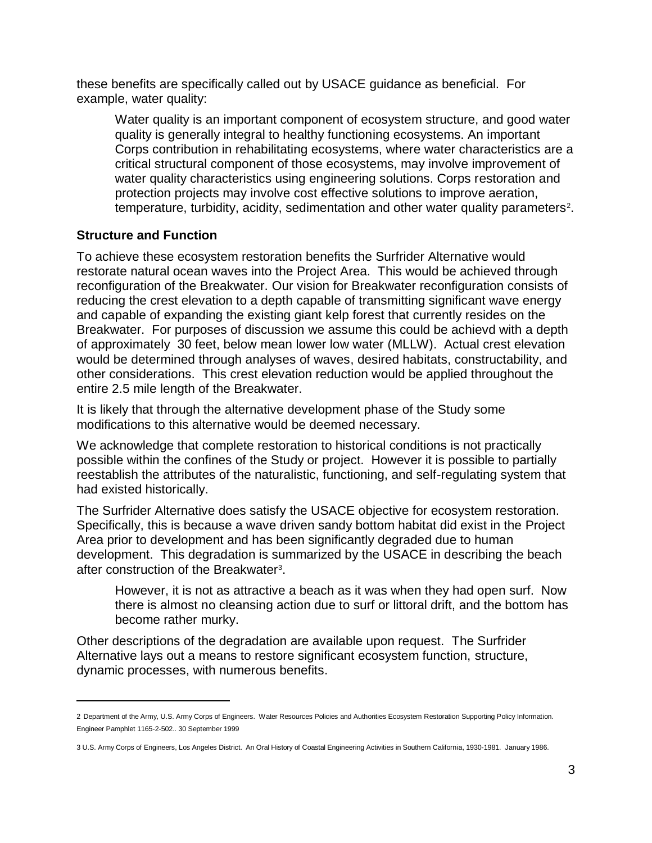these benefits are specifically called out by USACE guidance as beneficial. For example, water quality:

Water quality is an important component of ecosystem structure, and good water quality is generally integral to healthy functioning ecosystems. An important Corps contribution in rehabilitating ecosystems, where water characteristics are a critical structural component of those ecosystems, may involve improvement of water quality characteristics using engineering solutions. Corps restoration and protection projects may involve cost effective solutions to improve aeration, temperature, turbidity, acidity, sedimentation and other water quality parameters<sup>2</sup>.

#### **Structure and Function**

 $\overline{a}$ 

To achieve these ecosystem restoration benefits the Surfrider Alternative would restorate natural ocean waves into the Project Area. This would be achieved through reconfiguration of the Breakwater. Our vision for Breakwater reconfiguration consists of reducing the crest elevation to a depth capable of transmitting significant wave energy and capable of expanding the existing giant kelp forest that currently resides on the Breakwater. For purposes of discussion we assume this could be achievd with a depth of approximately 30 feet, below mean lower low water (MLLW). Actual crest elevation would be determined through analyses of waves, desired habitats, constructability, and other considerations. This crest elevation reduction would be applied throughout the entire 2.5 mile length of the Breakwater.

It is likely that through the alternative development phase of the Study some modifications to this alternative would be deemed necessary.

We acknowledge that complete restoration to historical conditions is not practically possible within the confines of the Study or project. However it is possible to partially reestablish the attributes of the naturalistic, functioning, and self-regulating system that had existed historically.

The Surfrider Alternative does satisfy the USACE objective for ecosystem restoration. Specifically, this is because a wave driven sandy bottom habitat did exist in the Project Area prior to development and has been significantly degraded due to human development. This degradation is summarized by the USACE in describing the beach after construction of the Breakwater<sup>3</sup>.

However, it is not as attractive a beach as it was when they had open surf. Now there is almost no cleansing action due to surf or littoral drift, and the bottom has become rather murky.

Other descriptions of the degradation are available upon request. The Surfrider Alternative lays out a means to restore significant ecosystem function, structure, dynamic processes, with numerous benefits.

<sup>2</sup> Department of the Army, U.S. Army Corps of Engineers. Water Resources Policies and Authorities Ecosystem Restoration Supporting Policy Information. Engineer Pamphlet 1165-2-502.. 30 September 1999

<sup>3</sup> U.S. Army Corps of Engineers, Los Angeles District. An Oral History of Coastal Engineering Activities in Southern California, 1930-1981. January 1986.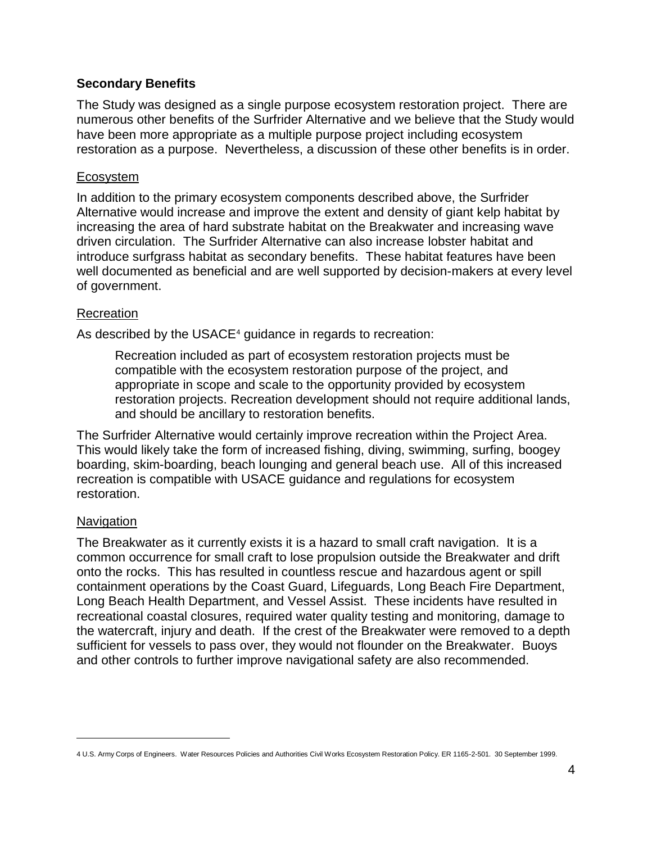#### **Secondary Benefits**

The Study was designed as a single purpose ecosystem restoration project. There are numerous other benefits of the Surfrider Alternative and we believe that the Study would have been more appropriate as a multiple purpose project including ecosystem restoration as a purpose. Nevertheless, a discussion of these other benefits is in order.

#### Ecosystem

In addition to the primary ecosystem components described above, the Surfrider Alternative would increase and improve the extent and density of giant kelp habitat by increasing the area of hard substrate habitat on the Breakwater and increasing wave driven circulation. The Surfrider Alternative can also increase lobster habitat and introduce surfgrass habitat as secondary benefits. These habitat features have been well documented as beneficial and are well supported by decision-makers at every level of government.

#### Recreation

As described by the USACE<sup>4</sup> guidance in regards to recreation:

Recreation included as part of ecosystem restoration projects must be compatible with the ecosystem restoration purpose of the project, and appropriate in scope and scale to the opportunity provided by ecosystem restoration projects. Recreation development should not require additional lands, and should be ancillary to restoration benefits.

The Surfrider Alternative would certainly improve recreation within the Project Area. This would likely take the form of increased fishing, diving, swimming, surfing, boogey boarding, skim-boarding, beach lounging and general beach use. All of this increased recreation is compatible with USACE guidance and regulations for ecosystem restoration.

#### **Navigation**

 $\overline{a}$ 

The Breakwater as it currently exists it is a hazard to small craft navigation. It is a common occurrence for small craft to lose propulsion outside the Breakwater and drift onto the rocks. This has resulted in countless rescue and hazardous agent or spill containment operations by the Coast Guard, Lifeguards, Long Beach Fire Department, Long Beach Health Department, and Vessel Assist. These incidents have resulted in recreational coastal closures, required water quality testing and monitoring, damage to the watercraft, injury and death. If the crest of the Breakwater were removed to a depth sufficient for vessels to pass over, they would not flounder on the Breakwater. Buoys and other controls to further improve navigational safety are also recommended.

<sup>4</sup> U.S. Army Corps of Engineers. Water Resources Policies and Authorities Civil Works Ecosystem Restoration Policy. ER 1165-2-501. 30 September 1999.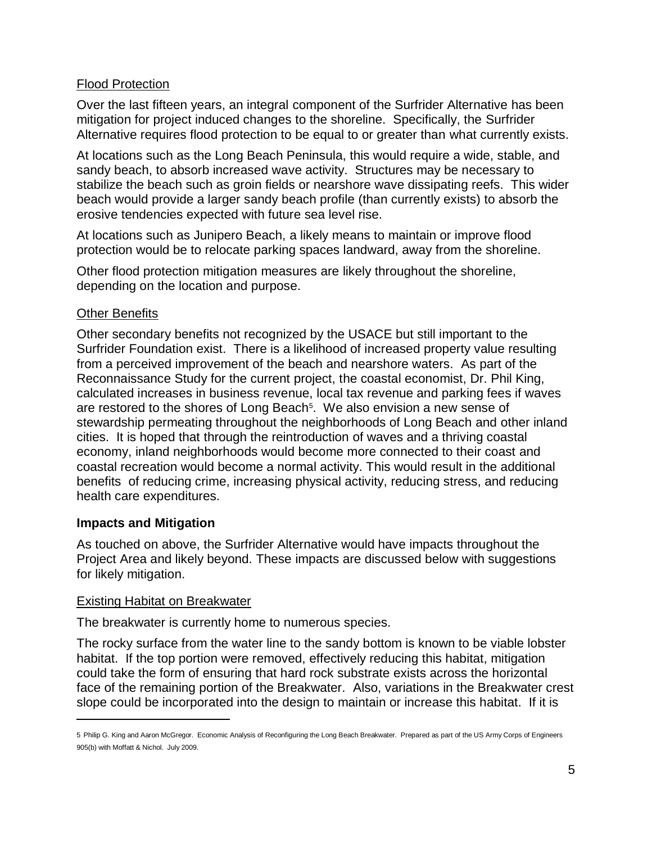### Flood Protection

Over the last fifteen years, an integral component of the Surfrider Alternative has been mitigation for project induced changes to the shoreline. Specifically, the Surfrider Alternative requires flood protection to be equal to or greater than what currently exists.

At locations such as the Long Beach Peninsula, this would require a wide, stable, and sandy beach, to absorb increased wave activity. Structures may be necessary to stabilize the beach such as groin fields or nearshore wave dissipating reefs. This wider beach would provide a larger sandy beach profile (than currently exists) to absorb the erosive tendencies expected with future sea level rise.

At locations such as Junipero Beach, a likely means to maintain or improve flood protection would be to relocate parking spaces landward, away from the shoreline.

Other flood protection mitigation measures are likely throughout the shoreline, depending on the location and purpose.

#### Other Benefits

Other secondary benefits not recognized by the USACE but still important to the Surfrider Foundation exist. There is a likelihood of increased property value resulting from a perceived improvement of the beach and nearshore waters. As part of the Reconnaissance Study for the current project, the coastal economist, Dr. Phil King, calculated increases in business revenue, local tax revenue and parking fees if waves are restored to the shores of Long Beach<sup>5</sup>. We also envision a new sense of stewardship permeating throughout the neighborhoods of Long Beach and other inland cities. It is hoped that through the reintroduction of waves and a thriving coastal economy, inland neighborhoods would become more connected to their coast and coastal recreation would become a normal activity. This would result in the additional benefits of reducing crime, increasing physical activity, reducing stress, and reducing health care expenditures.

#### **Impacts and Mitigation**

 $\overline{a}$ 

As touched on above, the Surfrider Alternative would have impacts throughout the Project Area and likely beyond. These impacts are discussed below with suggestions for likely mitigation.

#### Existing Habitat on Breakwater

The breakwater is currently home to numerous species.

The rocky surface from the water line to the sandy bottom is known to be viable lobster habitat. If the top portion were removed, effectively reducing this habitat, mitigation could take the form of ensuring that hard rock substrate exists across the horizontal face of the remaining portion of the Breakwater. Also, variations in the Breakwater crest slope could be incorporated into the design to maintain or increase this habitat. If it is

<sup>5</sup> Philip G. King and Aaron McGregor. Economic Analysis of Reconfiguring the Long Beach Breakwater. Prepared as part of the US Army Corps of Engineers 905(b) with Moffatt & Nichol. July 2009.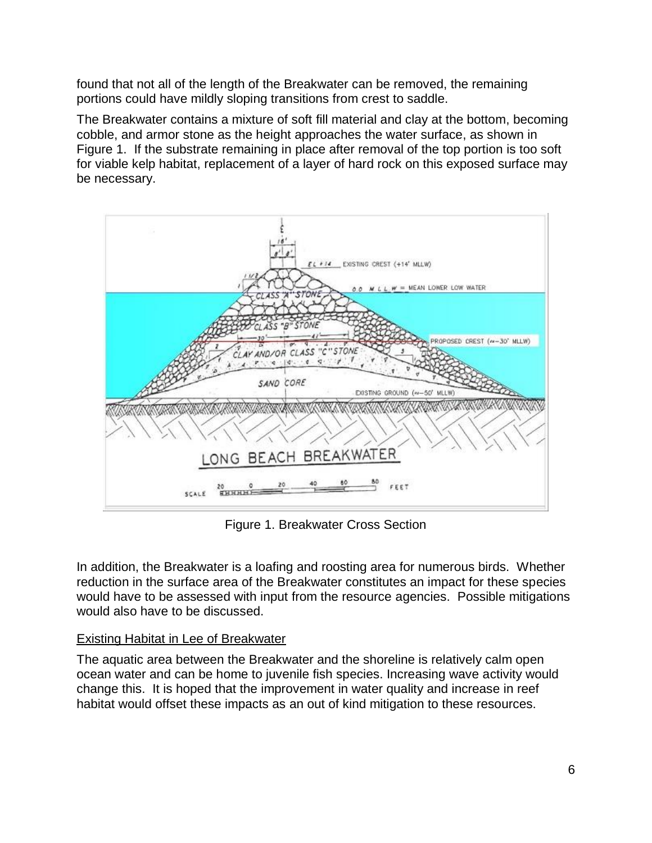found that not all of the length of the Breakwater can be removed, the remaining portions could have mildly sloping transitions from crest to saddle.

The Breakwater contains a mixture of soft fill material and clay at the bottom, becoming cobble, and armor stone as the height approaches the water surface, as shown in Figure 1. If the substrate remaining in place after removal of the top portion is too soft for viable kelp habitat, replacement of a layer of hard rock on this exposed surface may be necessary.



Figure 1. Breakwater Cross Section

In addition, the Breakwater is a loafing and roosting area for numerous birds. Whether reduction in the surface area of the Breakwater constitutes an impact for these species would have to be assessed with input from the resource agencies. Possible mitigations would also have to be discussed.

#### Existing Habitat in Lee of Breakwater

The aquatic area between the Breakwater and the shoreline is relatively calm open ocean water and can be home to juvenile fish species. Increasing wave activity would change this. It is hoped that the improvement in water quality and increase in reef habitat would offset these impacts as an out of kind mitigation to these resources.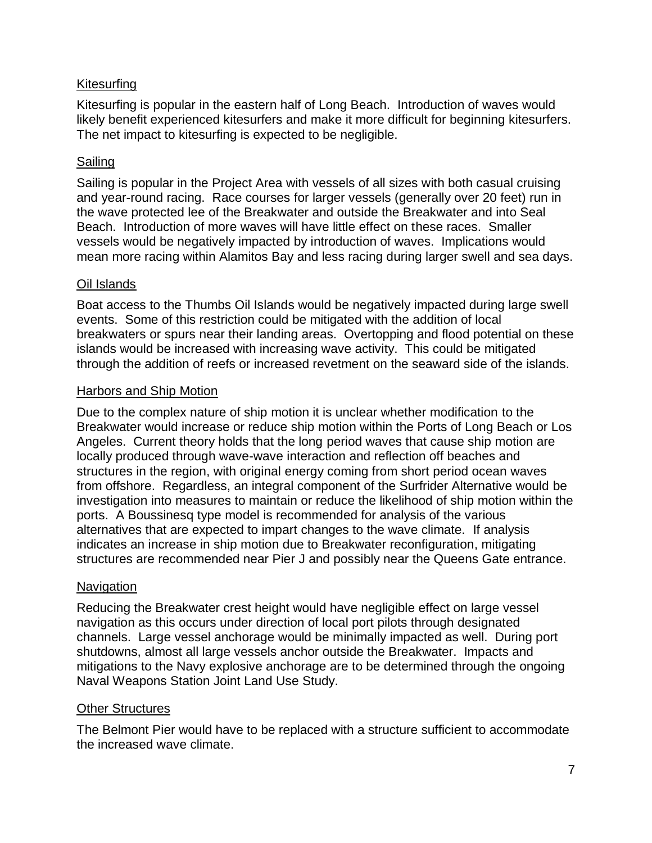### Kitesurfing

Kitesurfing is popular in the eastern half of Long Beach. Introduction of waves would likely benefit experienced kitesurfers and make it more difficult for beginning kitesurfers. The net impact to kitesurfing is expected to be negligible.

#### Sailing

Sailing is popular in the Project Area with vessels of all sizes with both casual cruising and year-round racing. Race courses for larger vessels (generally over 20 feet) run in the wave protected lee of the Breakwater and outside the Breakwater and into Seal Beach. Introduction of more waves will have little effect on these races. Smaller vessels would be negatively impacted by introduction of waves. Implications would mean more racing within Alamitos Bay and less racing during larger swell and sea days.

#### Oil Islands

Boat access to the Thumbs Oil Islands would be negatively impacted during large swell events. Some of this restriction could be mitigated with the addition of local breakwaters or spurs near their landing areas. Overtopping and flood potential on these islands would be increased with increasing wave activity. This could be mitigated through the addition of reefs or increased revetment on the seaward side of the islands.

#### Harbors and Ship Motion

Due to the complex nature of ship motion it is unclear whether modification to the Breakwater would increase or reduce ship motion within the Ports of Long Beach or Los Angeles. Current theory holds that the long period waves that cause ship motion are locally produced through wave-wave interaction and reflection off beaches and structures in the region, with original energy coming from short period ocean waves from offshore. Regardless, an integral component of the Surfrider Alternative would be investigation into measures to maintain or reduce the likelihood of ship motion within the ports. A Boussinesq type model is recommended for analysis of the various alternatives that are expected to impart changes to the wave climate. If analysis indicates an increase in ship motion due to Breakwater reconfiguration, mitigating structures are recommended near Pier J and possibly near the Queens Gate entrance.

#### **Navigation**

Reducing the Breakwater crest height would have negligible effect on large vessel navigation as this occurs under direction of local port pilots through designated channels. Large vessel anchorage would be minimally impacted as well. During port shutdowns, almost all large vessels anchor outside the Breakwater. Impacts and mitigations to the Navy explosive anchorage are to be determined through the ongoing Naval Weapons Station Joint Land Use Study.

#### Other Structures

The Belmont Pier would have to be replaced with a structure sufficient to accommodate the increased wave climate.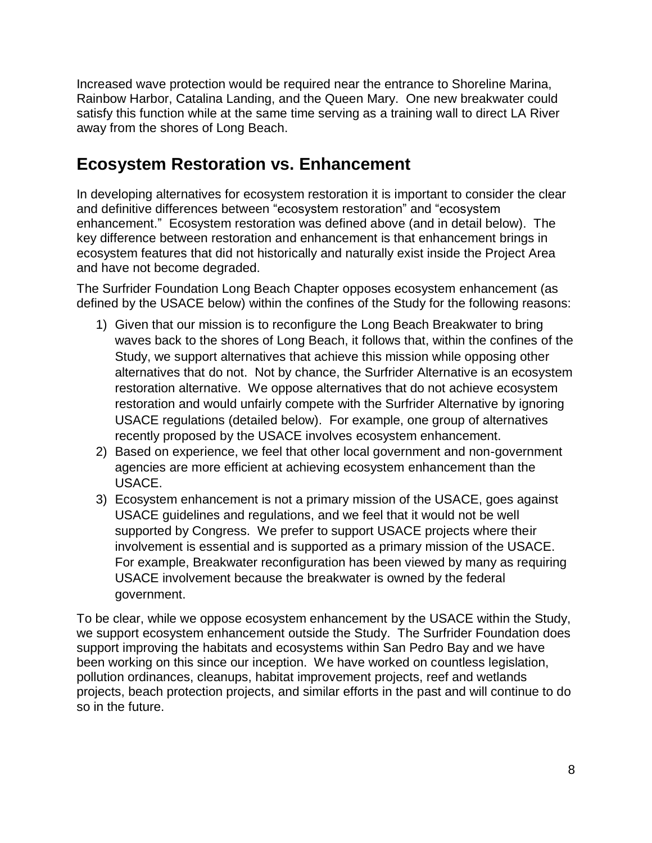Increased wave protection would be required near the entrance to Shoreline Marina, Rainbow Harbor, Catalina Landing, and the Queen Mary. One new breakwater could satisfy this function while at the same time serving as a training wall to direct LA River away from the shores of Long Beach.

## **Ecosystem Restoration vs. Enhancement**

In developing alternatives for ecosystem restoration it is important to consider the clear and definitive differences between "ecosystem restoration" and "ecosystem enhancement." Ecosystem restoration was defined above (and in detail below). The key difference between restoration and enhancement is that enhancement brings in ecosystem features that did not historically and naturally exist inside the Project Area and have not become degraded.

The Surfrider Foundation Long Beach Chapter opposes ecosystem enhancement (as defined by the USACE below) within the confines of the Study for the following reasons:

- 1) Given that our mission is to reconfigure the Long Beach Breakwater to bring waves back to the shores of Long Beach, it follows that, within the confines of the Study, we support alternatives that achieve this mission while opposing other alternatives that do not. Not by chance, the Surfrider Alternative is an ecosystem restoration alternative. We oppose alternatives that do not achieve ecosystem restoration and would unfairly compete with the Surfrider Alternative by ignoring USACE regulations (detailed below). For example, one group of alternatives recently proposed by the USACE involves ecosystem enhancement.
- 2) Based on experience, we feel that other local government and non-government agencies are more efficient at achieving ecosystem enhancement than the USACE.
- 3) Ecosystem enhancement is not a primary mission of the USACE, goes against USACE guidelines and regulations, and we feel that it would not be well supported by Congress. We prefer to support USACE projects where their involvement is essential and is supported as a primary mission of the USACE. For example, Breakwater reconfiguration has been viewed by many as requiring USACE involvement because the breakwater is owned by the federal government.

To be clear, while we oppose ecosystem enhancement by the USACE within the Study, we support ecosystem enhancement outside the Study. The Surfrider Foundation does support improving the habitats and ecosystems within San Pedro Bay and we have been working on this since our inception. We have worked on countless legislation, pollution ordinances, cleanups, habitat improvement projects, reef and wetlands projects, beach protection projects, and similar efforts in the past and will continue to do so in the future.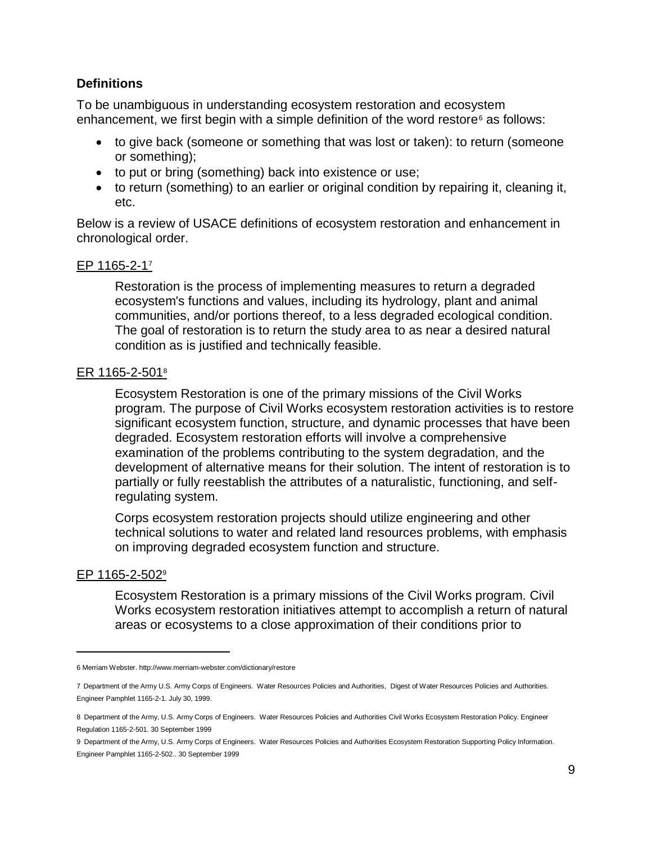#### **Definitions**

To be unambiguous in understanding ecosystem restoration and ecosystem enhancement, we first begin with a simple definition of the word restore<sup> $6$ </sup> as follows:

- to give back (someone or something that was lost or taken): to return (someone or something);
- to put or bring (something) back into existence or use;
- to return (something) to an earlier or original condition by repairing it, cleaning it, etc.

Below is a review of USACE definitions of ecosystem restoration and enhancement in chronological order.

#### EP 1165-2-17

Restoration is the process of implementing measures to return a degraded ecosystem's functions and values, including its hydrology, plant and animal communities, and/or portions thereof, to a less degraded ecological condition. The goal of restoration is to return the study area to as near a desired natural condition as is justified and technically feasible.

#### ER 1165-2-501<sup>8</sup>

Ecosystem Restoration is one of the primary missions of the Civil Works program. The purpose of Civil Works ecosystem restoration activities is to restore significant ecosystem function, structure, and dynamic processes that have been degraded. Ecosystem restoration efforts will involve a comprehensive examination of the problems contributing to the system degradation, and the development of alternative means for their solution. The intent of restoration is to partially or fully reestablish the attributes of a naturalistic, functioning, and selfregulating system.

Corps ecosystem restoration projects should utilize engineering and other technical solutions to water and related land resources problems, with emphasis on improving degraded ecosystem function and structure.

#### EP 1165-2-502<sup>9</sup>

 $\overline{a}$ 

Ecosystem Restoration is a primary missions of the Civil Works program. Civil Works ecosystem restoration initiatives attempt to accomplish a return of natural areas or ecosystems to a close approximation of their conditions prior to

9 Department of the Army, U.S. Army Corps of Engineers. Water Resources Policies and Authorities Ecosystem Restoration Supporting Policy Information. Engineer Pamphlet 1165-2-502.. 30 September 1999

<sup>6</sup> Merriam Webster. http://www.merriam-webster.com/dictionary/restore

<sup>7</sup> Department of the Army U.S. Army Corps of Engineers. Water Resources Policies and Authorities, Digest of Water Resources Policies and Authorities. Engineer Pamphlet 1165-2-1. July 30, 1999.

<sup>8</sup> Department of the Army, U.S. Army Corps of Engineers. Water Resources Policies and Authorities Civil Works Ecosystem Restoration Policy. Engineer Regulation 1165-2-501. 30 September 1999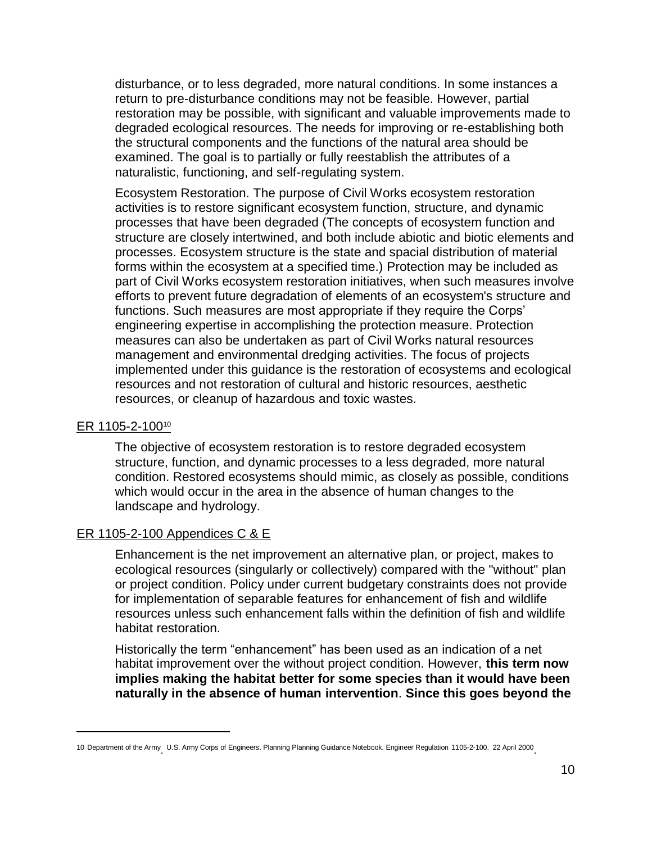disturbance, or to less degraded, more natural conditions. In some instances a return to pre-disturbance conditions may not be feasible. However, partial restoration may be possible, with significant and valuable improvements made to degraded ecological resources. The needs for improving or re-establishing both the structural components and the functions of the natural area should be examined. The goal is to partially or fully reestablish the attributes of a naturalistic, functioning, and self-regulating system.

Ecosystem Restoration. The purpose of Civil Works ecosystem restoration activities is to restore significant ecosystem function, structure, and dynamic processes that have been degraded (The concepts of ecosystem function and structure are closely intertwined, and both include abiotic and biotic elements and processes. Ecosystem structure is the state and spacial distribution of material forms within the ecosystem at a specified time.) Protection may be included as part of Civil Works ecosystem restoration initiatives, when such measures involve efforts to prevent future degradation of elements of an ecosystem's structure and functions. Such measures are most appropriate if they require the Corps' engineering expertise in accomplishing the protection measure. Protection measures can also be undertaken as part of Civil Works natural resources management and environmental dredging activities. The focus of projects implemented under this guidance is the restoration of ecosystems and ecological resources and not restoration of cultural and historic resources, aesthetic resources, or cleanup of hazardous and toxic wastes.

#### ER 1105-2-100<sup>10</sup>

 $\overline{a}$ 

The objective of ecosystem restoration is to restore degraded ecosystem structure, function, and dynamic processes to a less degraded, more natural condition. Restored ecosystems should mimic, as closely as possible, conditions which would occur in the area in the absence of human changes to the landscape and hydrology.

#### ER 1105-2-100 Appendices C & E

Enhancement is the net improvement an alternative plan, or project, makes to ecological resources (singularly or collectively) compared with the "without" plan or project condition. Policy under current budgetary constraints does not provide for implementation of separable features for enhancement of fish and wildlife resources unless such enhancement falls within the definition of fish and wildlife habitat restoration.

Historically the term "enhancement" has been used as an indication of a net habitat improvement over the without project condition. However, **this term now implies making the habitat better for some species than it would have been naturally in the absence of human intervention**. **Since this goes beyond the** 

<sup>10</sup> Department of the Army U.S. Army Corps of Engineers. Planning Planning Guidance Notebook. Engineer Regulation 1105-2-100. 22 April 2000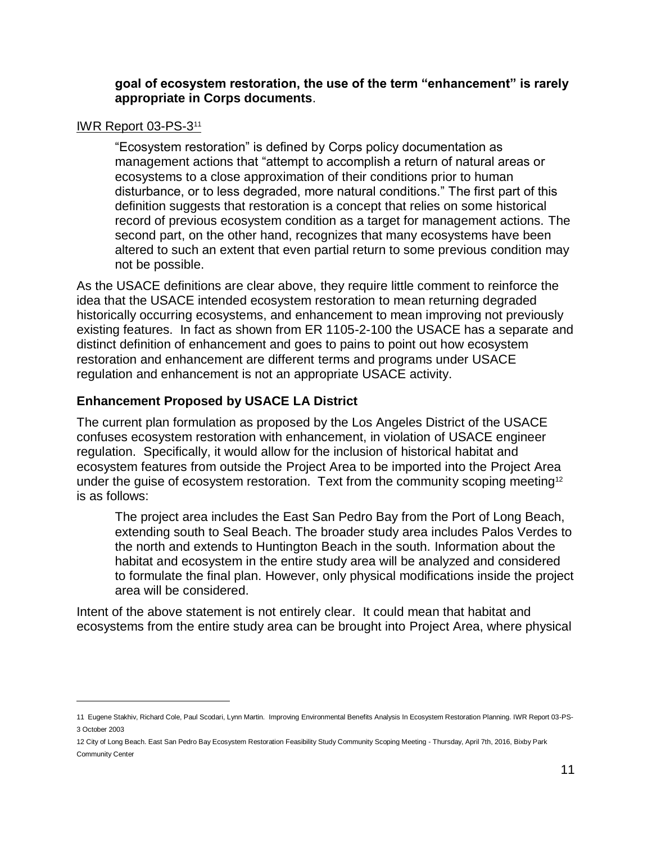**goal of ecosystem restoration, the use of the term "enhancement" is rarely appropriate in Corps documents**.

#### IWR Report 03-PS-3<sup>11</sup>

 $\overline{a}$ 

"Ecosystem restoration" is defined by Corps policy documentation as management actions that "attempt to accomplish a return of natural areas or ecosystems to a close approximation of their conditions prior to human disturbance, or to less degraded, more natural conditions." The first part of this definition suggests that restoration is a concept that relies on some historical record of previous ecosystem condition as a target for management actions. The second part, on the other hand, recognizes that many ecosystems have been altered to such an extent that even partial return to some previous condition may not be possible.

As the USACE definitions are clear above, they require little comment to reinforce the idea that the USACE intended ecosystem restoration to mean returning degraded historically occurring ecosystems, and enhancement to mean improving not previously existing features. In fact as shown from ER 1105-2-100 the USACE has a separate and distinct definition of enhancement and goes to pains to point out how ecosystem restoration and enhancement are different terms and programs under USACE regulation and enhancement is not an appropriate USACE activity.

## **Enhancement Proposed by USACE LA District**

The current plan formulation as proposed by the Los Angeles District of the USACE confuses ecosystem restoration with enhancement, in violation of USACE engineer regulation. Specifically, it would allow for the inclusion of historical habitat and ecosystem features from outside the Project Area to be imported into the Project Area under the guise of ecosystem restoration. Text from the community scoping meeting<sup>12</sup> is as follows:

The project area includes the East San Pedro Bay from the Port of Long Beach, extending south to Seal Beach. The broader study area includes Palos Verdes to the north and extends to Huntington Beach in the south. Information about the habitat and ecosystem in the entire study area will be analyzed and considered to formulate the final plan. However, only physical modifications inside the project area will be considered.

Intent of the above statement is not entirely clear. It could mean that habitat and ecosystems from the entire study area can be brought into Project Area, where physical

<sup>11</sup> Eugene Stakhiv, Richard Cole, Paul Scodari, Lynn Martin. Improving Environmental Benefits Analysis In Ecosystem Restoration Planning. IWR Report 03-PS-3 October 2003

<sup>12</sup> City of Long Beach. East San Pedro Bay Ecosystem Restoration Feasibility Study Community Scoping Meeting - Thursday, April 7th, 2016, Bixby Park Community Center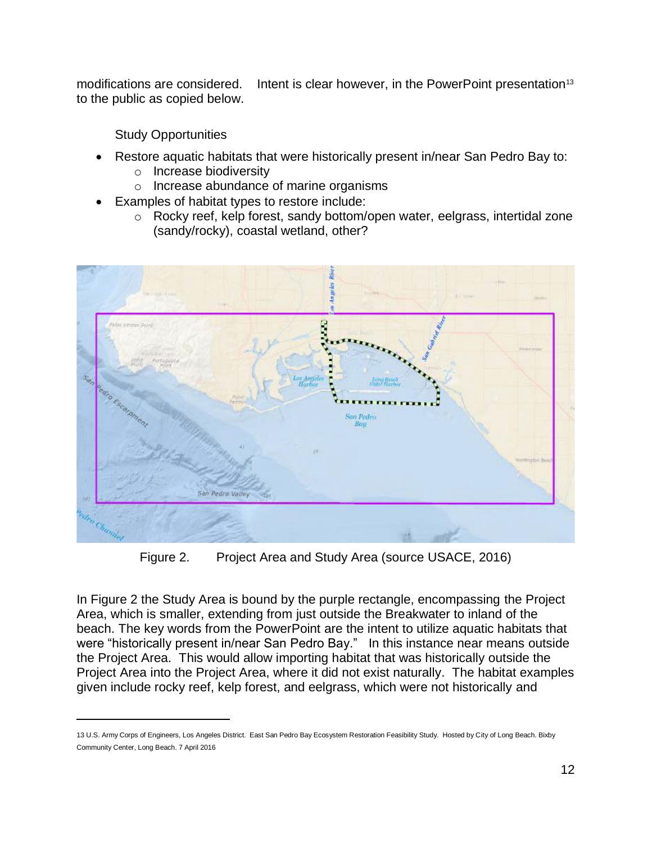modifications are considered. Intent is clear however, in the PowerPoint presentation<sup>13</sup> to the public as copied below.

Study Opportunities

 $\overline{a}$ 

- Restore aquatic habitats that were historically present in/near San Pedro Bay to:
	- o Increase biodiversity
	- o Increase abundance of marine organisms
- Examples of habitat types to restore include:
	- o Rocky reef, kelp forest, sandy bottom/open water, eelgrass, intertidal zone (sandy/rocky), coastal wetland, other?



Figure 2. Project Area and Study Area (source USACE, 2016)

In Figure 2 the Study Area is bound by the purple rectangle, encompassing the Project Area, which is smaller, extending from just outside the Breakwater to inland of the beach. The key words from the PowerPoint are the intent to utilize aquatic habitats that were "historically present in/near San Pedro Bay." In this instance near means outside the Project Area. This would allow importing habitat that was historically outside the Project Area into the Project Area, where it did not exist naturally. The habitat examples given include rocky reef, kelp forest, and eelgrass, which were not historically and

<sup>13</sup> U.S. Army Corps of Engineers, Los Angeles District. East San Pedro Bay Ecosystem Restoration Feasibility Study. Hosted by City of Long Beach. Bixby Community Center, Long Beach. 7 April 2016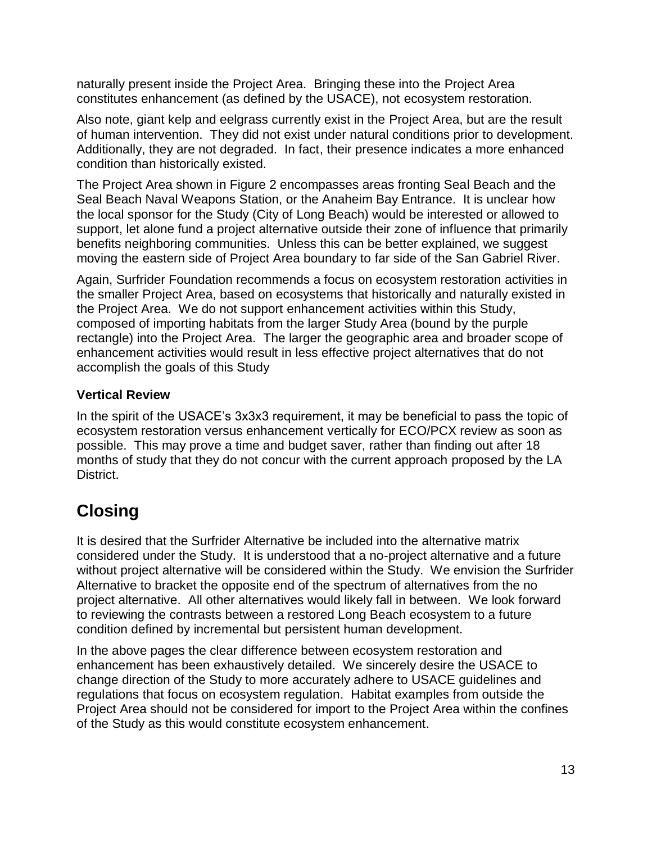naturally present inside the Project Area. Bringing these into the Project Area constitutes enhancement (as defined by the USACE), not ecosystem restoration.

Also note, giant kelp and eelgrass currently exist in the Project Area, but are the result of human intervention. They did not exist under natural conditions prior to development. Additionally, they are not degraded. In fact, their presence indicates a more enhanced condition than historically existed.

The Project Area shown in Figure 2 encompasses areas fronting Seal Beach and the Seal Beach Naval Weapons Station, or the Anaheim Bay Entrance. It is unclear how the local sponsor for the Study (City of Long Beach) would be interested or allowed to support, let alone fund a project alternative outside their zone of influence that primarily benefits neighboring communities. Unless this can be better explained, we suggest moving the eastern side of Project Area boundary to far side of the San Gabriel River.

Again, Surfrider Foundation recommends a focus on ecosystem restoration activities in the smaller Project Area, based on ecosystems that historically and naturally existed in the Project Area. We do not support enhancement activities within this Study, composed of importing habitats from the larger Study Area (bound by the purple rectangle) into the Project Area. The larger the geographic area and broader scope of enhancement activities would result in less effective project alternatives that do not accomplish the goals of this Study

## **Vertical Review**

In the spirit of the USACE's 3x3x3 requirement, it may be beneficial to pass the topic of ecosystem restoration versus enhancement vertically for ECO/PCX review as soon as possible. This may prove a time and budget saver, rather than finding out after 18 months of study that they do not concur with the current approach proposed by the LA District.

# **Closing**

It is desired that the Surfrider Alternative be included into the alternative matrix considered under the Study. It is understood that a no-project alternative and a future without project alternative will be considered within the Study. We envision the Surfrider Alternative to bracket the opposite end of the spectrum of alternatives from the no project alternative. All other alternatives would likely fall in between. We look forward to reviewing the contrasts between a restored Long Beach ecosystem to a future condition defined by incremental but persistent human development.

In the above pages the clear difference between ecosystem restoration and enhancement has been exhaustively detailed. We sincerely desire the USACE to change direction of the Study to more accurately adhere to USACE guidelines and regulations that focus on ecosystem regulation. Habitat examples from outside the Project Area should not be considered for import to the Project Area within the confines of the Study as this would constitute ecosystem enhancement.